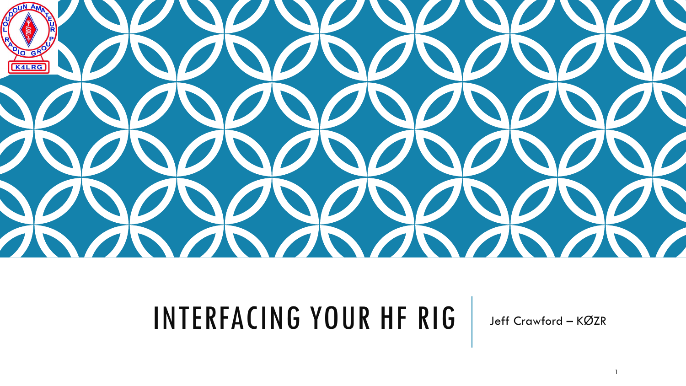

## INTERFACING YOUR HF RIG Jeff Crawford – <sup>K</sup>ØZR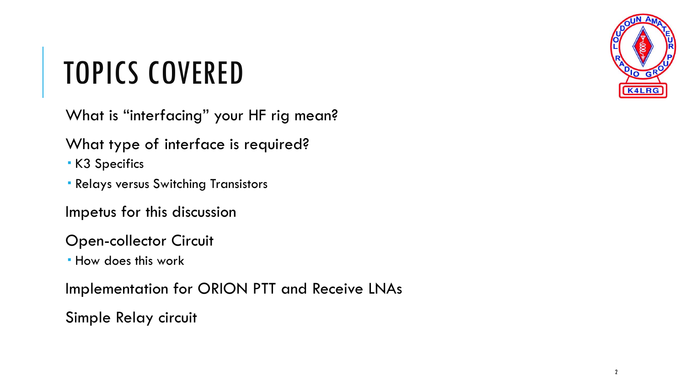

## TOPICS COVERED

What is "interfacing" your HF rig mean?

- What type of interface is required?
- K3 Specifics
- Relays versus Switching Transistors
- Impetus for this discussion
- Open-collector Circuit
- **How does this work**

Implementation for ORION PTT and Receive LNAs

Simple Relay circuit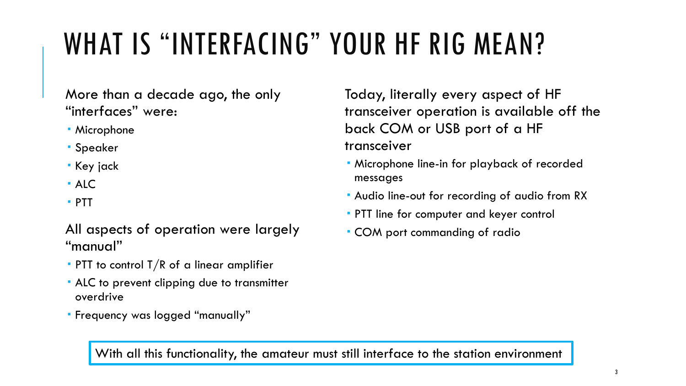# WHAT IS "INTERFACING" YOUR HF RIG MEAN?

More than a decade ago, the only "interfaces" were:

- Microphone
- Speaker
- Key jack
- $AIC$
- PTT

All aspects of operation were largely "manual"

- **PTT** to control  $T/R$  of a linear amplifier
- ALC to prevent clipping due to transmitter overdrive
- Frequency was logged "manually"

Today, literally every aspect of HF transceiver operation is available off the back COM or USB port of a HF transceiver

- Microphone line-in for playback of recorded messages
- Audio line-out for recording of audio from RX
- **PTT** line for computer and keyer control
- COM port commanding of radio

With all this functionality, the amateur must still interface to the station environment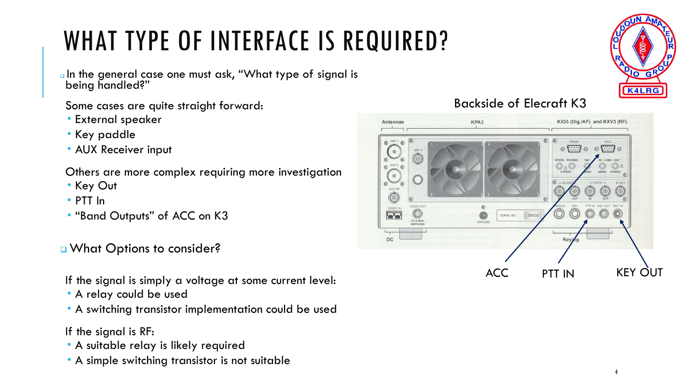### WHAT TYPE OF INTERFACE IS REQUIRED?

aln the general case one must ask, "What type of signal is being handled?"

#### Some cases are quite straight forward:

- **External speaker**
- Key paddle
- **AUX Receiver input**

Others are more complex requiring more investigation

- Key Out
- PTT In
- "Band Outputs" of ACC on K3

#### What Options to consider?

If the signal is simply a voltage at some current level:

- A relay could be used
- A switching transistor implementation could be used

#### If the signal is RF:

- A suitable relay is likely required
- A simple switching transistor is not suitable



#### Backside of Elecraft K3

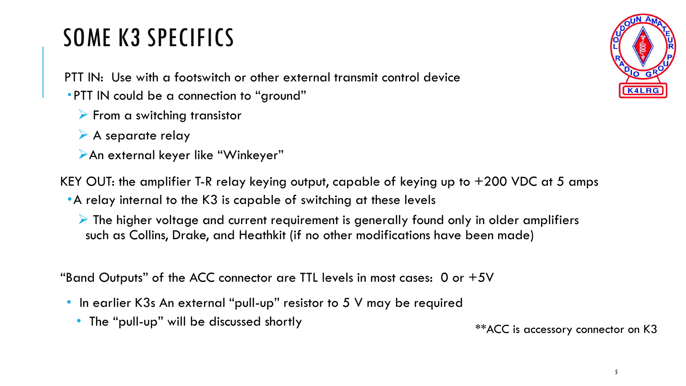### SOME K3 SPECIFICS

PTT IN: Use with a footswitch or other external transmit control device

- PTT IN could be a connection to "ground"
	- $\triangleright$  From a switching transistor
	- $\triangleright$  A separate relay
	- ➢An external keyer like "Winkeyer"

KEY OUT: the amplifier T-R relay keying output, capable of keying up to +200 VDC at 5 amps

•A relay internal to the K3 is capable of switching at these levels

 $\triangleright$  The higher voltage and current requirement is generally found only in older amplifiers such as Collins, Drake, and Heathkit (if no other modifications have been made)

"Band Outputs" of the ACC connector are TTL levels in most cases:  $0$  or  $+5V$ 

- In earlier K3s An external "pull-up" resistor to 5 V may be required
	- The "pull-up" will be discussed shortly

\*\*ACC is accessory connector on K3

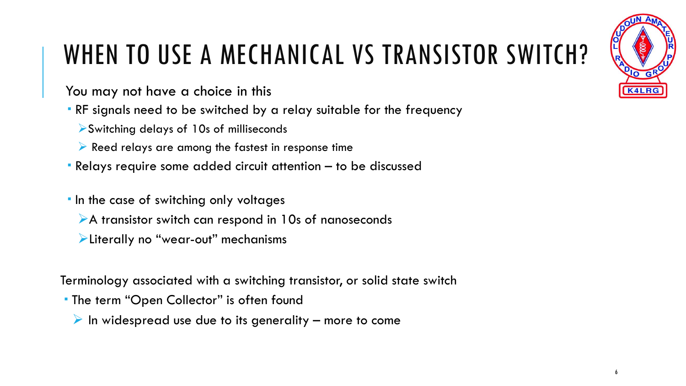

## WHEN TO USE A MECHANICAL VS TRANSISTOR SWITCH?

You may not have a choice in this

RF signals need to be switched by a relay suitable for the frequency

➢Switching delays of 10s of milliseconds

- ➢ Reed relays are among the fastest in response time
- Relays require some added circuit attention to be discussed

**In the case of switching only voltages** 

- ➢A transistor switch can respond in 10s of nanoseconds
- ➢Literally no "wear-out" mechanisms

Terminology associated with a switching transistor, or solid state switch

- **The term "Open Collector" is often found** 
	- $\triangleright$  In widespread use due to its generality more to come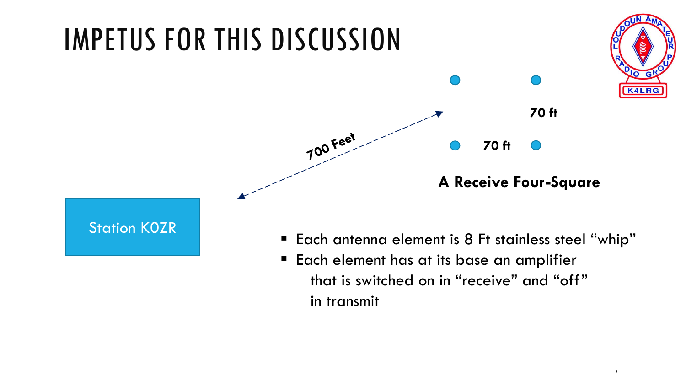

in transmit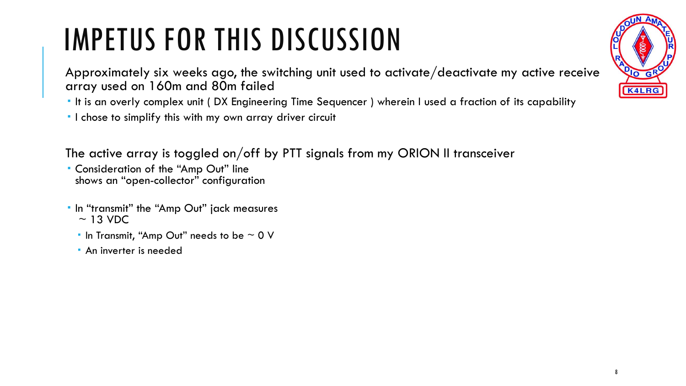# IMPETUS FOR THIS DISCUSSION

Approximately six weeks ago, the switching unit used to activate/deactivate my active receive array used on 160m and 80m failed

It is an overly complex unit ( DX Engineering Time Sequencer ) wherein I used a fraction of its capability

I chose to simplify this with my own array driver circuit

The active array is toggled on/off by PTT signals from my ORION II transceiver

- Consideration of the "Amp Out" line shows an "open-collector" configuration
- In "transmit" the "Amp Out" jack measures  $\sim$  13 VDC
	- In Transmit, "Amp Out" needs to be  $\sim$  0 V
	- **An inverter is needed**

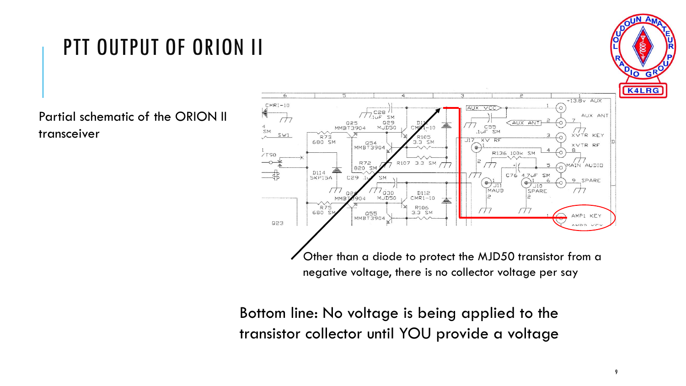### PTT OUTPUT OF ORION II

Partial schematic of the ORION II transceiver



Bottom line: No voltage is being applied to the transistor collector until YOU provide a voltage

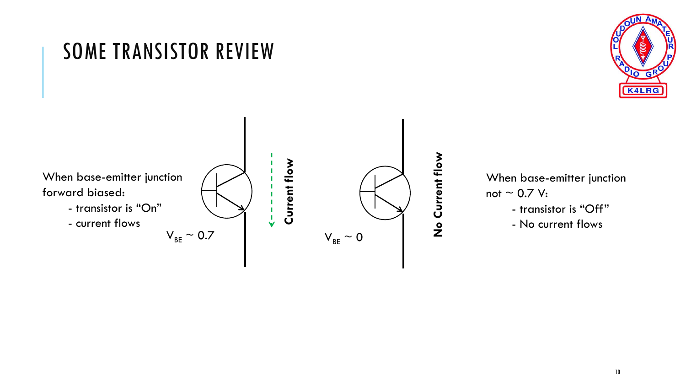

#### **No Current flow Current flow** When base-emitter junction forward biased: - transistor is "On"  $\dot{\mathsf{L}}$ - current flows  $V_{BE}$  ~ 0.7  $V_{BE} \sim 0$

SOME TRANSISTOR REVIEW

When base-emitter junction not  $\sim$  0.7 V:

- transistor is "Off"

- No current flows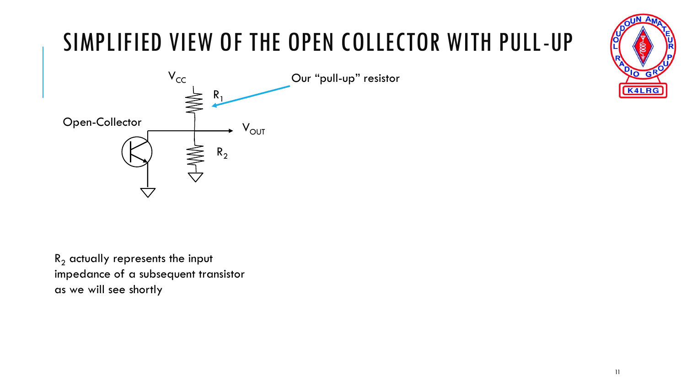### SIMPLIFIED VIEW OF THE OPEN COLLECTOR WITH PULL-UP  $R<sub>1</sub>$  $R_2$ Open-Collector  $V_{CC}$  $V_{\text{OUT}}$ Our "pull-up" resistor

 $R_2$  actually represents the input impedance of a subsequent transistor as we will see shortly

11

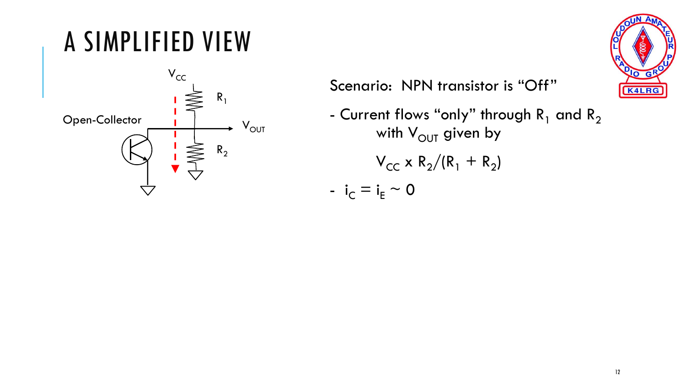## A SIMPLIFIED VIEW





Scenario: NPN transistor is "Off"

- Current flows "only" through  $R_1$  and  $R_2$ with  $V_{\text{OUT}}$  given by  $V_{CC}$  x R<sub>2</sub>/(R<sub>1</sub> + R<sub>2</sub>) -  $i_C = i_E \sim 0$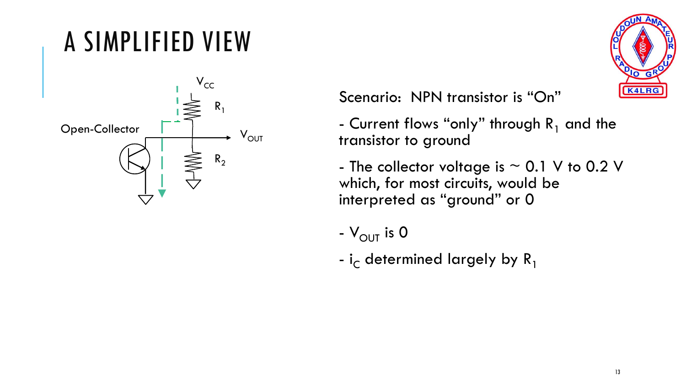### A SIMPLIFIED VIEW





Scenario: NPN transistor is "On"

- Current flows "only" through  $R_1$  and the transistor to ground
- The collector voltage is  $\sim$  0.1 V to 0.2 V which, for most circuits, would be interpreted as "ground" or 0
- $V_{\text{OUT}}$  is 0
- i<sub>c</sub> determined largely by  $R_1$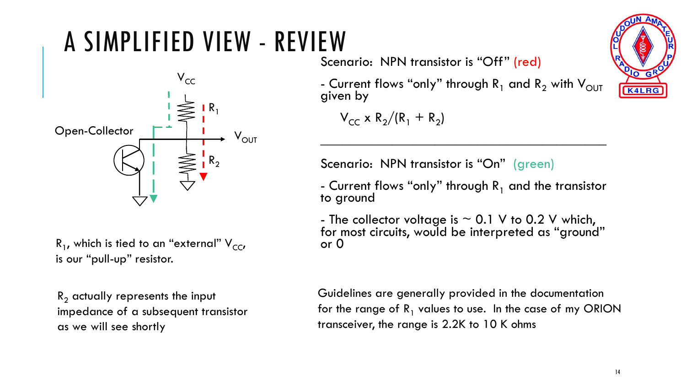## A SIMPLIFIED VIEW - REVIEW



 $R_1$ , which is tied to an "external"  $V_{CC}$ is our "pull-up" resistor.

 $R<sub>2</sub>$  actually represents the input impedance of a subsequent transistor as we will see shortly

Scenario: NPN transistor is "Off" (red)

- Current flows "only" through  $R_1$  and  $R_2$  with V<sub>OUT</sub> given by

 $V_{CC} \times R_2/(R_1 + R_2)$ 

Scenario: NPN transistor is "On" (green)

- Current flows "only" through  $R_1$  and the transistor to ground

 $\mathcal{L}_\text{max}$  and  $\mathcal{L}_\text{max}$  and  $\mathcal{L}_\text{max}$  and  $\mathcal{L}_\text{max}$  and  $\mathcal{L}_\text{max}$ 

- The collector voltage is  $\sim$  0.1 V to 0.2 V which, for most circuits, would be interpreted as "ground" or 0

Guidelines are generally provided in the documentation for the range of  $R_1$  values to use. In the case of my ORION transceiver, the range is 2.2K to 10 K ohms

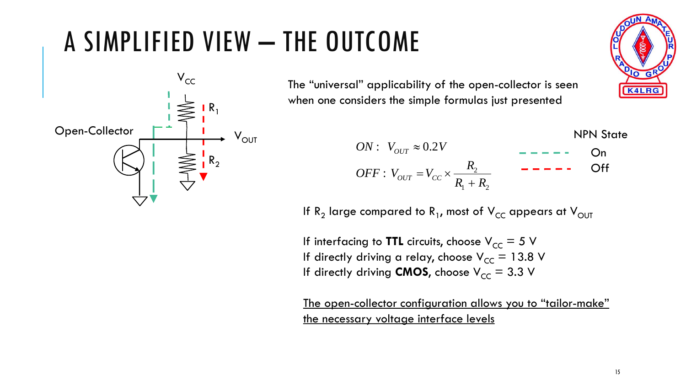### A SIMPLIFIED VIEW – THE OUTCOME



The "universal" applicability of the open-collector is seen when one considers the simple formulas just presented

**TCOME**  
\n1" applicability of the open-collectron is seen  
\nsiders the simple formulas just presented  
\n
$$
ON: V_{OUT} \approx 0.2V
$$
  
\n $OFF: V_{OUT} = V_{CC} \times \frac{R_2}{R_1 + R_2}$   
\n $\Rightarrow$  compared to R<sub>1</sub>, most of V<sub>CC</sub> appears at V<sub>OUT</sub>  
\n $\therefore$  driving a relay, choose V<sub>CC</sub> = 5 V  
\ndriving **CMOS**, choose V<sub>CC</sub> = 3.3 V

If R<sub>2</sub> large compared to R<sub>1</sub>, most of V<sub>CC</sub> appears at V<sub>OUT</sub>

If interfacing to **TTL** circuits, choose  $V_{CC} = 5 V$ If directly driving a relay, choose  $V_{CC} = 13.8$  V If directly driving **CMOS**, choose  $V_{CC} = 3.3$  V

The open-collector configuration allows you to "tailor-make" the necessary voltage interface levels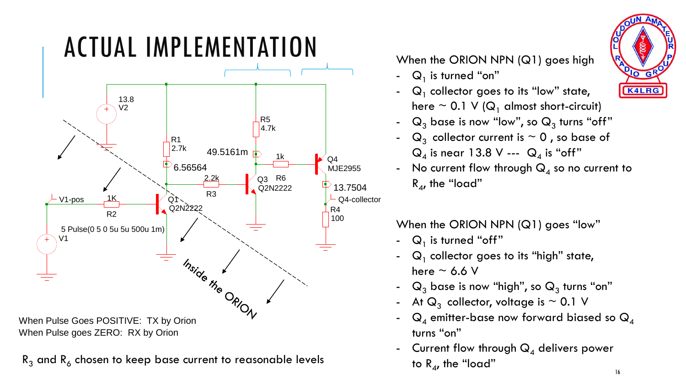

 $R_3$  and  $R_6$  chosen to keep base current to reasonable levels to  $R_4$ , the "load"

- $Q_1$  is turned "on"
- $Q_1$  collector goes to its "low" state, here  $\sim$  0.1 V ( $Q_1$  almost short-circuit)
- $\mathsf{Q}_{3}$  base is now "low", so  $\mathsf{Q}_{3}$  turns "off"
- $Q_3$  collector current is  $\sim 0$ , so base of  $\mathsf{Q}_4$  is near 13.8 V ---  $\mathsf{Q}_4$  is "off"
- $\,$  No current flow through  $\mathsf{Q}_{\mathsf{4}}$  so no current to  $R_{4}$ , the "load"

When the ORION NPN (Q1) goes "low"

- $Q_1$  is turned "off"
- $\quad$  Q $_{1}$  collector goes to its "high" state, here  $\sim$  6.6 V
- $\mathsf{Q}_{3}$  base is now "high", so  $\mathsf{Q}_{3}$  turns "on"
- At  $\mathsf{Q}_3$  collector, voltage is  $\sim 0.1$  V
- $Q_4$  emitter-base now forward biased so  $Q_4$ turns "on"
- Current flow through  $Q_4$  delivers power to  $R_{4}$ , the "load"

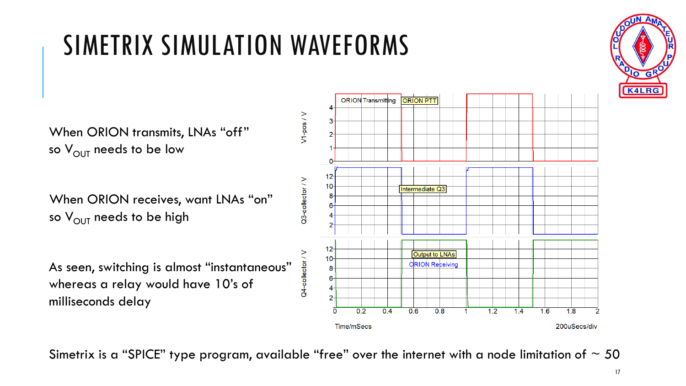### SIMETRIX SIMULATION WAVEFORMS

When ORION transmits, LNAs "off" so  $V_{\text{OUT}}$  needs to be low

When ORION receives, want LNAs "on" so  $V_{\text{OUT}}$  needs to be high

As seen, switching is almost "instantaneous" whereas a relay would have 10's of milliseconds delay



Simetrix is a "SPICE" type program, available "free" over the internet with a node limitation of  $\sim$  50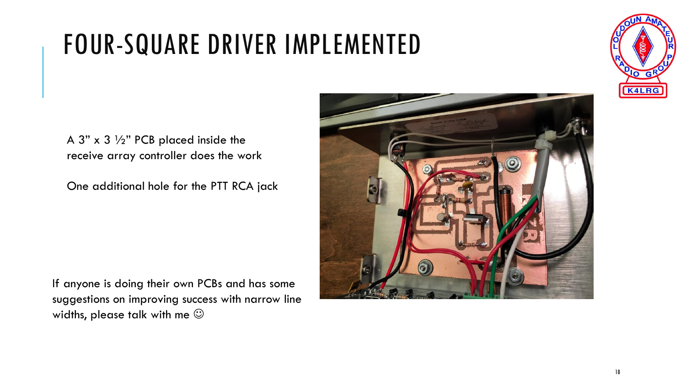### FOUR-SQUARE DRIVER IMPLEMENTED



A 3"  $\times$  3  $\frac{1}{2}$ " PCB placed inside the receive array controller does the work

One additional hole for the PTT RCA jack

If anyone is doing their own PCBs and has some suggestions on improving success with narrow line widths, please talk with me  $\odot$ 

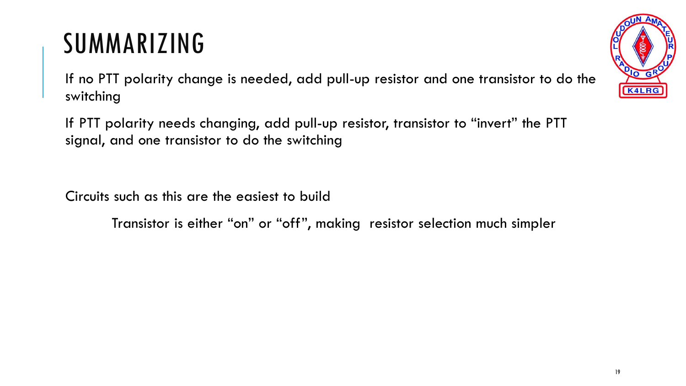### SUMMARIZING

If no PTT polarity change is needed, add pull-up resistor and one transistor to do the switching

If PTT polarity needs changing, add pull-up resistor, transistor to "invert" the PTT signal, and one transistor to do the switching

Circuits such as this are the easiest to build

Transistor is either "on" or "off", making resistor selection much simpler